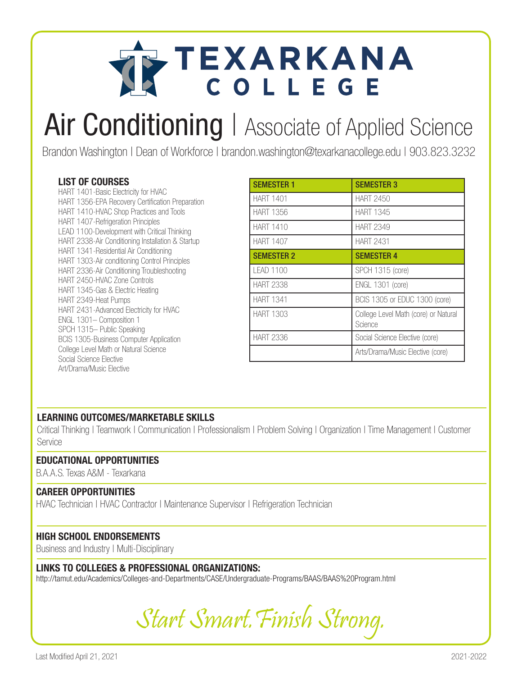

## Air Conditioning | Associate of Applied Science

Brandon Washington | Dean of Workforce | brandon.washington@texarkanacollege.edu | 903.823.3232

#### LIST OF COURSES

HART 1401-Basic Electricity for HVAC HART 1356-EPA Recovery Certification Preparation HART 1410-HVAC Shop Practices and Tools HART 1407-Refrigeration Principles LEAD 1100-Development with Critical Thinking HART 2338-Air Conditioning Installation & Startup HART 1341-Residential Air Conditioning HART 1303-Air conditioning Control Principles HART 2336-Air Conditioning Troubleshooting HART 2450-HVAC Zone Controls HART 1345-Gas & Electric Heating HART 2349-Heat Pumps HART 2431-Advanced Electricity for HVAC ENGL 1301– Composition 1 SPCH 1315– Public Speaking BCIS 1305-Business Computer Application College Level Math or Natural Science Social Science Elective Art/Drama/Music Elective

| <b>SEMESTER 1</b> | <b>SEMESTER 3</b>                               |
|-------------------|-------------------------------------------------|
| HART 1401         | <b>HART 2450</b>                                |
| <b>HART 1356</b>  | <b>HART 1345</b>                                |
| <b>HART 1410</b>  | <b>HART 2349</b>                                |
| <b>HART 1407</b>  | <b>HART 2431</b>                                |
| <b>SEMESTER 2</b> | <b>SEMESTER 4</b>                               |
| LEAD 1100         | <b>SPCH 1315 (core)</b>                         |
| <b>HART 2338</b>  | <b>ENGL 1301 (core)</b>                         |
| <b>HART 1341</b>  | BCIS 1305 or EDUC 1300 (core)                   |
| <b>HART 1303</b>  | College Level Math (core) or Natural<br>Science |
| <b>HART 2336</b>  | Social Science Elective (core)                  |
|                   | Arts/Drama/Music Elective (core)                |

#### LEARNING OUTCOMES/MARKETABLE SKILLS

Critical Thinking | Teamwork | Communication | Professionalism | Problem Solving | Organization | Time Management | Customer **Service** 

#### EDUCATIONAL OPPORTUNITIES

B.A.A.S. Texas A&M - Texarkana

#### CAREER OPPORTUNITIES

HVAC Technician | HVAC Contractor | Maintenance Supervisor | Refrigeration Technician

#### HIGH SCHOOL ENDORSEMENTS

Business and Industry | Multi-Disciplinary

#### LINKS TO COLLEGES & PROFESSIONAL ORGANIZATIONS:

http://tamut.edu/Academics/Colleges-and-Departments/CASE/Undergraduate-Programs/BAAS/BAAS%20Program.html

Start Smart.Finish Strong.